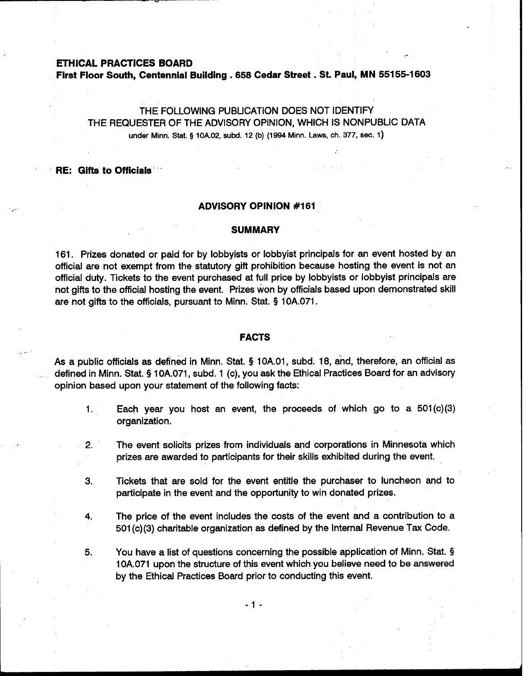## **ETHICAL PRACTICES BOARD**

**First Floor South, Centennial Building** . **<sup>658</sup>Cedar Street** . **St. Paul, MN 55155-1 603** 

# THE FOLLOWING PUBLICATION DOES NOT IDENTIFY THE REQUESTER OF THE ADVISORY OPINION, WHICH IS NONPUBLIC DATA under Minn. Stat. **9** 10A.02, subd. 12 **(b)** (1994 Minn. Laws, ch. 377, sec. 1)

### **RE: Gifts to Officials**

. -

#### **ADVISORY OPINION #161**

#### **SUMMARY**

161. Prizes donated or paid for by lobbyists or lobbyist principals for an event hosted by an official are not exempt from the statutory gift prohibition because hosting the event is not an official duty. Tickets to the event purchased at full price by lobbyists or lobbyist principals are not gifts to the official hosting the event. Prizes won by officials based upon demonstrated skill are not gifts to the officials, pursuant to Minn. Stat. **Q** 10A.071.

## **I**FACTS *I***FACTS**

As a public officials as defined in Minn. Stat. **Q** 1 0A.01, subd. 18, and, therefore, an official as . defined in Minn. Stat. § 1 0A.071, subd. 1 (c), you ask the Ethical Practices Board for an advisory opinion based upon your statement of the following facts:

- 1. Each year you host an event, the proceeds of which go to a  $501(c)(3)$ organization.
- The event solicits prizes from individuals and corporations in Minnesota which  $2.$ prizes are awarded to participants for their skills exhibited during the event.
- $3.$ Tickets that are sold for the event entitle the purchaser to luncheon and to participate in the event and the opportunity to win donated prizes.
- 4. The price of the event includes the costs of the event and a contribution to a 501 (c)(3) charitable organization as defined by the Internal Revenue Tax Code.
- 5. You have a list of questions concerning the possible application of Minn. Stat. **<sup>Q</sup>** 10A.071 upon the structure of this event which you believe need to be answered by the Ethical Practices Board prior to conducting this event.

 $-1-$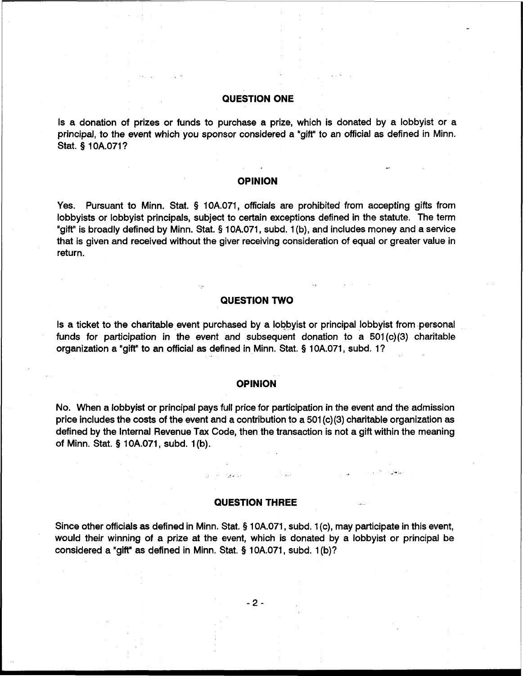### **QUESTION ONE**

Is a donation of prizes or funds to purchase a prize, which is donated by a lobbyist or a principal, to the event which you sponsor considered a "gift" to an official as defined in Minn. Stat. **9** 10A.071?

#### **OPINION**

Yes. Pursuant to Minn. Stat. § 10A.071, officials are prohibited from accepting gifts from lobbyists or lobbyist principals, subject to certain exceptions defined in the statute. The term "gift" is broadly defined by Minn. Stat. § 10A.071, subd. 1 (b), and includes money and a service that is given and received without the giver receiving consideration of equal or greater value in return.

## **QUESTION TWO**

Is a ticket to the charitable event purchased by a lobbyist or principal lobbyist from personal funds for participation in the event and subsequent donation to a 501(c)(3) charitable organization a "gift" to an official as defined in Minn. Stat. **5** 10A.071, subd. I?

#### **OPINION**

No. When a lobbyist or principal pays full price for participation in the event and the admission price includes the costs of the event and a contribution to a 501 (c)(3) charitable organization as defined by the Internal Revenue Tax Code, then the transaction is not a gift within the meaning of Minn. Stat. **9** 10A.071, subd. 1 (b).

#### **QUESTION THREE**

Since other officials as defined in Minn. Stat. **5** 10A.071, subd. 1 (c), may participate in this event, would their winning of a prize at the event, which is donated by a lobbyist or principal be considered a "gift" as defined in Minn. Stat. **9** 10A.071, subd. 1 (b)?

 $-2-$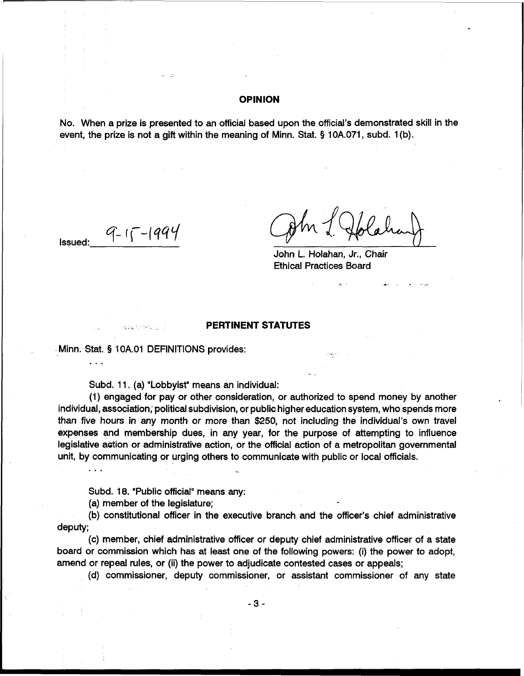#### **OPINION**

No. When a prize is presented to an official based upon the official's demonstrated skill in the event, the prize is not a gift within the meaning of Minn. Stat. **5** 10A.071, subd. 1 (b).

 $\ddotsc$ 

 $q_{-1}$  $\sqrt{q_{-1}}$   $q_{4}$ <br>Issued:  $q_{-1}$  $q_{4}$ <br> $q_{-1}$ <br> $q_{-1}$ <br> $q_{-1}$ <br> $q_{-1}$ <br> $q_{-1}$ <br> $q_{-1}$ <br> $q_{-1}$ <br> $q_{-1}$ <br> $q_{-1}$ <br> $q_{-1}$ 

Ethical Practices Board

#### .\_- .- **PERTINENT STATUTES**

Minn. Stat. § 1 OA.O1 DEFINITIONS provides:

Subd. 11. (a) "Lobbyist" means an individual:

(1) engaged for pay or other consideration, or authorized to spend money by another individual, association; political subdivision, or public higher education system, who spends more than five hours in any month or more than \$250, not including the individual's own travel expenses and membership dues, in any year, for the purpose of attempting to influence legislative action or administrative action, or the official action of a metropolitan governmental unit, by communicating or urging others to communicate with public or local officials.

Subd. 18. "Public official" means any:

(a) member of the legislature;

(b) constitutional officer in the executive branch and the officer's chief administrative deputy;

(c) member, chief administrative officer or deputy chief administrative officer of a state board or commission which has at least one of the following powers: (i) the power to adopt, amend or repeal rules, or (ii) the power to adjudicate contested cases or appeals;

(d) commissioner, deputy commissioner, or assistant commissioner of any state

 $-3-$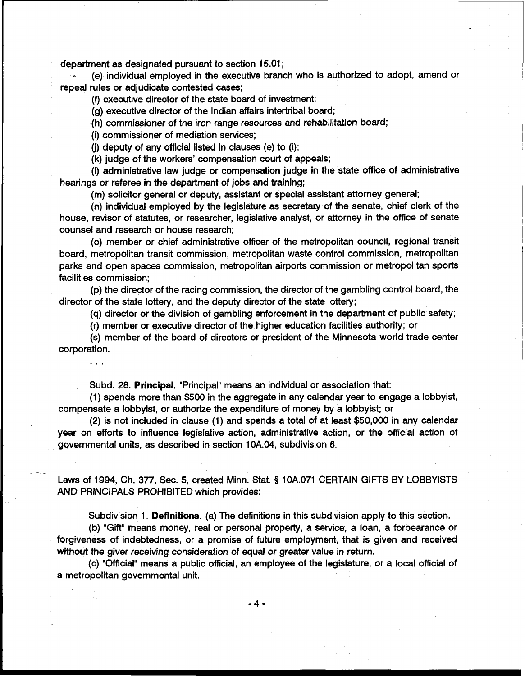department as designated pursuant to section 15.01 ;

- (e) individual employed in the executive branch who is authorized to adopt, amend or repeal rules or adjudicate contested cases;

(f) executive director of the state board of investment;

(g) executive director of the Indian affairs intertribal board;

(h) commissioner of the iron range resources and rehabilitation board;

(i) commissioner of mediation services;

**(j)** deputy of any official listed in clauses (e) to (i);

(k) judge of the workers' compensation court of appeals;

(I) administrative law judge or compensation judge in the state office of administrative hearings or referee in the department of jobs and training;

(m) solicitor general or deputy, assistant or special assistant attorney general;

(n) individual employed by the legislature as secretary of the senate, chief clerk of the house, revisor of statutes, or researcher, legislative analyst, or attorney in the office of senate counsel and research or house research;

(0) member or chief administrative officer of the metropolitan council, regional transit board, metropolitan transit commission, metropolitan waste control commission, metropolitan parks and open spaces commission, metropolitan airports commission or metropolitan sports facilities commission;

(p) the director of the racing commission, the director of the gambling control board, the director of the state lottery, and the deputy director of the state lottery;

(q) director or the division of gambling enforcement in the department of public safety;

(r) member or executive director of the higher education facilities authority; or

(s) member of the board of directors or president of the Minnesota world trade center corporation.

. . .

. Subd. 28. **Principal.** "Principal" means an individual or association that:

(1) spends more than \$500 in the aggregate in any calendar year to engage a lobbyist, compensate a lobbyist, or authorize the expenditure of money by a lobbyist; or

(2) is not included in clause (1) and spends a total of at least \$50,000 in any calendar year on efforts to influence legislative action, administrative action, or the official action of governmental units, as described in section 10A.04, subdivision 6.

Laws of 1994, Ch. 377, Sec. 5, created Minn. Stat. § 10A.071 CERTAIN GIFTS BY LOBBYISTS AND PRINCIPALS PROHIBITED which provides:

Subdivision 1. **Definitions.** (a) The definitions in this subdivision apply to this section.

(b) "Gift" means money, real or personal property, a service, a loan, a forbearance or forgiveness of indebtedness, or a promise of future employment, that is given and received without the giver receiving consideration of equal or greater value in return.

(c) "Official" means a public official, an employee of the legislature, or a local official of a metropolitan governmental unit.

 $-4-$